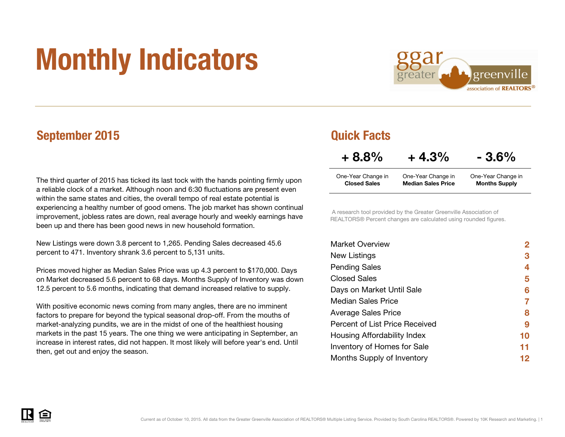# Monthly Indicators



## September 2015 **Graduate September 2015**

The third quarter of 2015 has ticked its last tock with the hands pointing firmly upon a reliable clock of a market. Although noon and 6:30 fluctuations are present even within the same states and cities, the overall tempo of real estate potential is experiencing a healthy number of good omens. The job market has shown continual improvement, jobless rates are down, real average hourly and weekly earnings have been up and there has been good news in new household formation.

New Listings were down 3.8 percent to 1,265. Pending Sales decreased 45.6 percent to 471. Inventory shrank 3.6 percent to 5,131 units.

Prices moved higher as Median Sales Price was up 4.3 percent to \$170,000. Days on Market decreased 5.6 percent to 68 days. Months Supply of Inventory was down 12.5 percent to 5.6 months, indicating that demand increased relative to supply.

With positive economic news coming from many angles, there are no imminent factors to prepare for beyond the typical seasonal drop-off. From the mouths of market-analyzing pundits, we are in the midst of one of the healthiest housing markets in the past 15 years. The one thing we were anticipating in September, an increase in interest rates, did not happen. It most likely will before year's end. Until then, get out and enjoy the season.

| $+8.8%$             | $+4.3%$                   | $-3.6\%$             |  |  |
|---------------------|---------------------------|----------------------|--|--|
| One-Year Change in  | One-Year Change in        | One-Year Change in   |  |  |
| <b>Closed Sales</b> | <b>Median Sales Price</b> | <b>Months Supply</b> |  |  |

 A research tool provided by the Greater Greenville Association of REALTORS® Percent changes are calculated using rounded figures.

| <b>Market Overview</b>             | 2  |
|------------------------------------|----|
| New Listings                       | 3  |
| <b>Pending Sales</b>               | 4  |
| <b>Closed Sales</b>                | 5  |
| Days on Market Until Sale          | 6  |
| Median Sales Price                 |    |
| <b>Average Sales Price</b>         | 8  |
| Percent of List Price Received     | 9  |
| Housing Affordability Index        | 10 |
| <b>Inventory of Homes for Sale</b> | 11 |
| Months Supply of Inventory         | 12 |

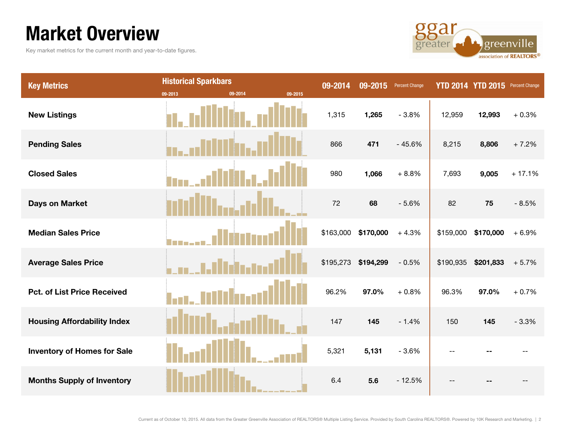# Market Overview

Key market metrics for the current month and year-to-date figures.



| <b>Key Metrics</b>                 | <b>Historical Sparkbars</b> |         |         | 09-2014   | 09-2015   | <b>Percent Change</b> | <b>YTD 2014</b> | <b>YTD 2015</b> | Percent Change |
|------------------------------------|-----------------------------|---------|---------|-----------|-----------|-----------------------|-----------------|-----------------|----------------|
|                                    | 09-2013                     | 09-2014 | 09-2015 |           |           |                       |                 |                 |                |
| <b>New Listings</b>                |                             |         |         | 1,315     | 1,265     | $-3.8%$               | 12,959          | 12,993          | $+0.3%$        |
| <b>Pending Sales</b>               |                             |         |         | 866       | 471       | $-45.6%$              | 8,215           | 8,806           | $+7.2%$        |
| <b>Closed Sales</b>                |                             |         |         | 980       | 1,066     | $+8.8%$               | 7,693           | 9,005           | $+17.1%$       |
| <b>Days on Market</b>              |                             |         |         | 72        | 68        | $-5.6%$               | 82              | 75              | $-8.5%$        |
| <b>Median Sales Price</b>          |                             |         |         | \$163,000 | \$170,000 | $+4.3%$               | \$159,000       | \$170,000       | $+6.9%$        |
| <b>Average Sales Price</b>         |                             |         |         | \$195,273 | \$194,299 | $-0.5%$               | \$190,935       | \$201,833       | $+5.7%$        |
| <b>Pct. of List Price Received</b> |                             |         |         | 96.2%     | 97.0%     | $+0.8%$               | 96.3%           | 97.0%           | $+0.7%$        |
| <b>Housing Affordability Index</b> |                             |         |         | 147       | 145       | $-1.4%$               | 150             | 145             | $-3.3%$        |
| <b>Inventory of Homes for Sale</b> |                             |         |         | 5,321     | 5,131     | $-3.6%$               |                 |                 |                |
| <b>Months Supply of Inventory</b>  |                             |         |         | 6.4       | 5.6       | $-12.5%$              |                 |                 |                |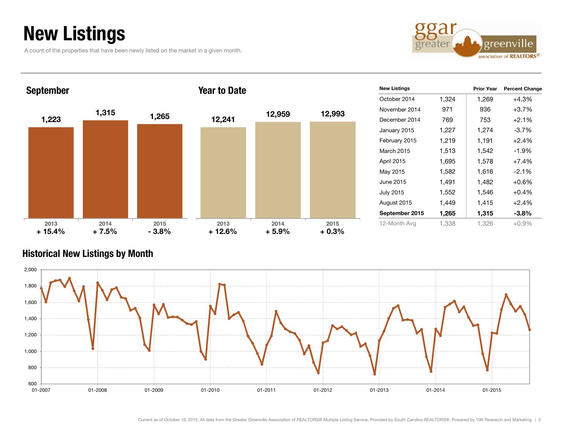# New Listings

A count of the properties that have been newly listed on the market in a given month.



| <b>September</b> |                 |                 | <b>Year to Date</b> |                 | <b>New Listings</b> |                   |       | <b>Percent Change</b><br><b>Prior Year</b> |          |
|------------------|-----------------|-----------------|---------------------|-----------------|---------------------|-------------------|-------|--------------------------------------------|----------|
|                  |                 |                 |                     |                 |                     | October 2014      | 1,324 | 1,269                                      | $+4.3%$  |
|                  | 1,315           |                 |                     | 12,959          | 12,993              | November 2014     | 971   | 936                                        | $+3.7%$  |
| 1,223            |                 | 1,265           | 12,241              |                 |                     | December 2014     | 769   | 753                                        | $+2.1%$  |
|                  |                 |                 |                     |                 |                     | January 2015      | 1,227 | 1,274                                      | $-3.7%$  |
|                  |                 |                 |                     |                 |                     | February 2015     | 1,219 | 1,191                                      | $+2.4%$  |
|                  |                 |                 |                     |                 |                     | <b>March 2015</b> | 1,513 | 1,542                                      | $-1.9%$  |
|                  |                 |                 |                     |                 |                     | April 2015        | 1,695 | 1,578                                      | $+7.4%$  |
|                  |                 |                 |                     |                 |                     | May 2015          | 1,582 | 1,616                                      | $-2.1%$  |
|                  |                 |                 |                     |                 |                     | June 2015         | 1,491 | 1,482                                      | $+0.6%$  |
|                  |                 |                 |                     |                 |                     | <b>July 2015</b>  | 1,552 | 1,546                                      | $+0.4%$  |
|                  |                 |                 |                     |                 |                     | August 2015       | 1,449 | 1,415                                      | $+2.4%$  |
|                  |                 |                 |                     |                 |                     | September 2015    | 1,265 | 1,315                                      | $-3.8%$  |
| 2013<br>$+15.4%$ | 2014<br>$+7.5%$ | 2015<br>$-3.8%$ | 2013<br>$+12.6%$    | 2014<br>$+5.9%$ | 2015<br>$+0.3%$     | 12-Month Avg      | 1,338 | 1,326                                      | $+0.9\%$ |

## Historical New Listings by Month

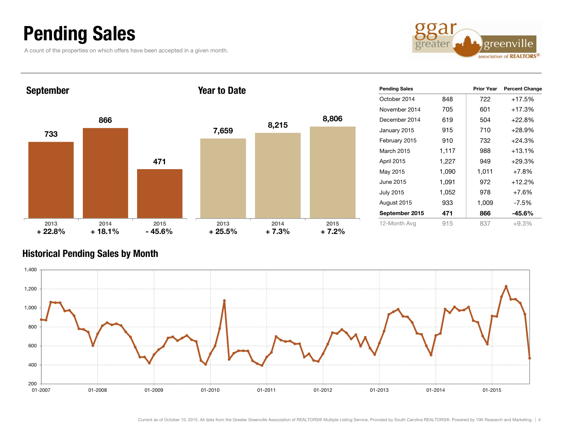# Pending Sales

A count of the properties on which offers have been accepted in a given month.



| <b>September</b> |                  |                  | <b>Year to Date</b> |                 |                 | <b>Pending Sales</b> |       | <b>Prior Year</b> | <b>Percent Change</b> |
|------------------|------------------|------------------|---------------------|-----------------|-----------------|----------------------|-------|-------------------|-----------------------|
|                  |                  |                  |                     |                 |                 | October 2014         | 848   | 722               | $+17.5%$              |
|                  |                  |                  |                     |                 |                 | November 2014        | 705   | 601               | $+17.3%$              |
|                  | 866              |                  |                     | 8,215           | 8,806           | December 2014        | 619   | 504               | $+22.8%$              |
| 733              |                  |                  | 7,659               |                 |                 | January 2015         | 915   | 710               | $+28.9%$              |
|                  |                  |                  |                     |                 |                 | February 2015        | 910   | 732               | $+24.3%$              |
|                  |                  |                  |                     |                 |                 | <b>March 2015</b>    | 1,117 | 988               | $+13.1%$              |
|                  |                  | 471              |                     |                 |                 | April 2015           | 1,227 | 949               | $+29.3%$              |
|                  |                  |                  |                     |                 |                 | May 2015             | 1,090 | 1,011             | $+7.8%$               |
|                  |                  |                  |                     |                 |                 | June 2015            | 1,091 | 972               | $+12.2%$              |
|                  |                  |                  |                     |                 |                 | <b>July 2015</b>     | 1,052 | 978               | $+7.6%$               |
|                  |                  |                  |                     |                 |                 | August 2015          | 933   | 1,009             | $-7.5%$               |
|                  |                  |                  |                     |                 |                 | September 2015       | 471   | 866               | $-45.6%$              |
| 2013<br>$+22.8%$ | 2014<br>$+18.1%$ | 2015<br>$-45.6%$ | 2013<br>$+25.5%$    | 2014<br>$+7.3%$ | 2015<br>$+7.2%$ | 12-Month Avg         | 915   | 837               | $+9.3%$               |

## Historical Pending Sales by Month

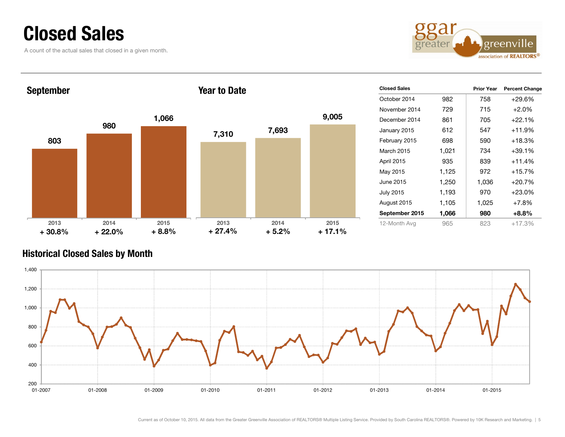# Closed Sales

A count of the actual sales that closed in a given month.



| <b>September</b> |          |         | <b>Year to Date</b> |         |          | <b>Closed Sales</b> |       | <b>Prior Year</b> | <b>Percent Change</b> |
|------------------|----------|---------|---------------------|---------|----------|---------------------|-------|-------------------|-----------------------|
|                  |          |         |                     |         |          | October 2014        | 982   | 758               | $+29.6%$              |
|                  |          |         |                     |         |          | November 2014       | 729   | 715               | $+2.0%$               |
|                  |          | 1,066   |                     |         | 9,005    | December 2014       | 861   | 705               | $+22.1%$              |
|                  | 980      |         | 7,310               | 7,693   |          | January 2015        | 612   | 547               | $+11.9%$              |
| 803              |          |         |                     |         |          | February 2015       | 698   | 590               | $+18.3%$              |
|                  |          |         |                     |         |          | March 2015          | 1,021 | 734               | $+39.1%$              |
|                  |          |         |                     |         |          | April 2015          | 935   | 839               | $+11.4%$              |
|                  |          |         |                     |         |          | May 2015            | 1,125 | 972               | $+15.7%$              |
|                  |          |         |                     |         |          | June 2015           | 1,250 | 1,036             | $+20.7%$              |
|                  |          |         |                     |         |          | <b>July 2015</b>    | 1,193 | 970               | $+23.0%$              |
|                  |          |         |                     |         |          | August 2015         | 1,105 | 1,025             | $+7.8%$               |
|                  |          |         |                     |         |          | September 2015      | 1,066 | 980               | $+8.8%$               |
| 2013             | 2014     | 2015    | 2013                | 2014    | 2015     | 12-Month Avg        | 965   | 823               | $+17.3%$              |
| $+30.8%$         | $+22.0%$ | $+8.8%$ | $+27.4%$            | $+5.2%$ | $+17.1%$ |                     |       |                   |                       |

## Historical Closed Sales by Month

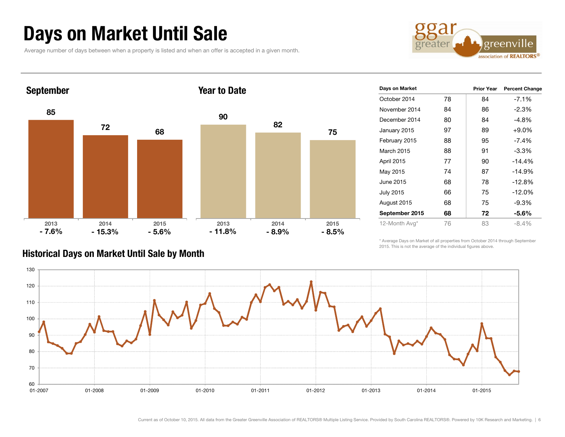# Days on Market Until Sale

Average number of days between when a property is listed and when an offer is accepted in a given month.





| Days on Market   |    | <b>Prior Year</b> | <b>Percent Change</b> |
|------------------|----|-------------------|-----------------------|
| October 2014     | 78 | 84                | $-7.1%$               |
| November 2014    | 84 | 86                | -2.3%                 |
| December 2014    | 80 | 84                | -4.8%                 |
| January 2015     | 97 | 89                | $+9.0%$               |
| February 2015    | 88 | 95                | $-7.4%$               |
| March 2015       | 88 | 91                | $-3.3%$               |
| April 2015       | 77 | 90                | $-14.4%$              |
| May 2015         | 74 | 87                | $-14.9%$              |
| June 2015        | 68 | 78                | $-12.8%$              |
| <b>July 2015</b> | 66 | 75                | $-12.0%$              |
| August 2015      | 68 | 75                | -9.3%                 |
| September 2015   | 68 | 72                | $-5.6\%$              |
| 12-Month Avg*    | 76 | 83                | $-8.4%$               |

## Historical Days on Market Until Sale by Month

\* Average Days on Market of all properties from October 2014 through September 2015. This is not the average of the individual figures above.

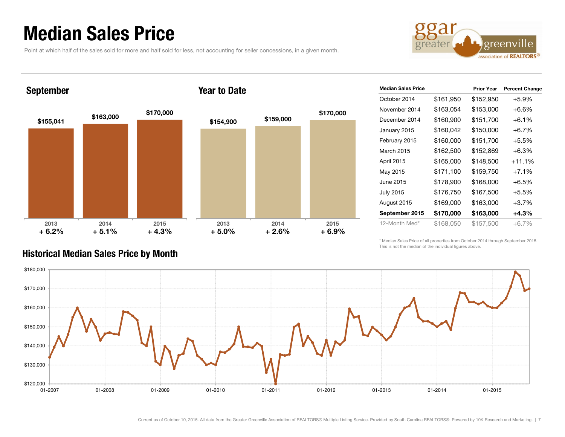# Median Sales Price

Point at which half of the sales sold for more and half sold for less, not accounting for seller concessions, in a given month.



September

### Year to Date



| <b>Median Sales Price</b> |           | <b>Prior Year</b> | <b>Percent Change</b> |
|---------------------------|-----------|-------------------|-----------------------|
| October 2014              | \$161,950 | \$152,950         | $+5.9%$               |
| November 2014             | \$163,054 | \$153,000         | +6.6%                 |
| December 2014             | \$160,900 | \$151,700         | $+6.1\%$              |
| January 2015              | \$160,042 | \$150,000         | +6.7%                 |
| February 2015             | \$160,000 | \$151,700         | $+5.5%$               |
| March 2015                | \$162,500 | \$152,869         | $+6.3\%$              |
| April 2015                | \$165,000 | \$148,500         | +11.1%                |
| May 2015                  | \$171,100 | \$159,750         | $+7.1%$               |
| June 2015                 | \$178,900 | \$168,000         | $+6.5%$               |
| <b>July 2015</b>          | \$176,750 | \$167,500         | $+5.5%$               |
| August 2015               | \$169,000 | \$163,000         | $+3.7%$               |
| September 2015            | \$170,000 | \$163,000         | +4.3%                 |
| 12-Month Med*             | \$168,050 | \$157,500         | $+6.7\%$              |

\* Median Sales Price of all properties from October 2014 through September 2015. This is not the median of the individual figures above.



## Historical Median Sales Price by Month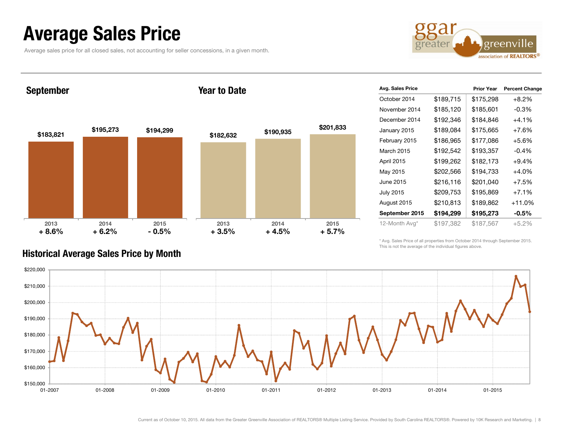# Average Sales Price

Average sales price for all closed sales, not accounting for seller concessions, in a given month.



September

### Year to Date



| Avg. Sales Price |           | <b>Prior Year</b> | <b>Percent Change</b> |
|------------------|-----------|-------------------|-----------------------|
| October 2014     | \$189,715 | \$175,298         | $+8.2%$               |
| November 2014    | \$185,120 | \$185,601         | $-0.3%$               |
| December 2014    | \$192,346 | \$184,846         | $+4.1%$               |
| January 2015     | \$189,084 | \$175,665         | $+7.6%$               |
| February 2015    | \$186,965 | \$177,086         | $+5.6%$               |
| March 2015       | \$192,542 | \$193,357         | $-0.4%$               |
| April 2015       | \$199,262 | \$182,173         | $+9.4%$               |
| May 2015         | \$202,566 | \$194,733         | $+4.0%$               |
| June 2015        | \$216,116 | \$201,040         | $+7.5%$               |
| <b>July 2015</b> | \$209,753 | \$195,869         | $+7.1%$               |
| August 2015      | \$210,813 | \$189,862         | $+11.0%$              |
| September 2015   | \$194,299 | \$195,273         | $-0.5\%$              |
| 12-Month Avg*    | \$197,382 | \$187,567         | $+5.2%$               |

\* Avg. Sales Price of all properties from October 2014 through September 2015. This is not the average of the individual figures above.



## Historical Average Sales Price by Month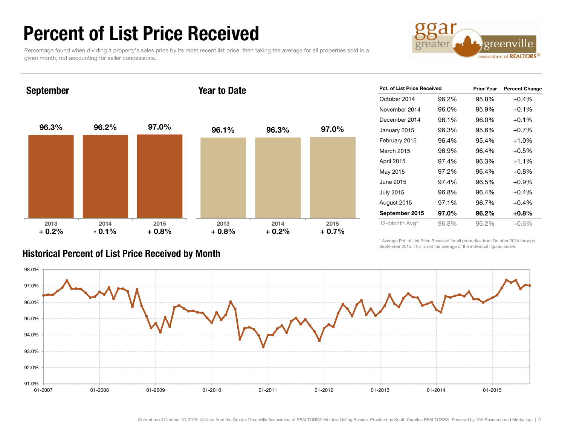# Percent of List Price Received

Percentage found when dividing a property's sales price by its most recent list price, then taking the average for all properties sold in a given month, not accounting for seller concessions.



September

### Year to Date



| Pct. of List Price Received |       | <b>Prior Year</b> | <b>Percent Change</b> |
|-----------------------------|-------|-------------------|-----------------------|
| October 2014                | 96.2% | 95.8%             | $+0.4%$               |
| November 2014               | 96.0% | 95.9%             | $+0.1%$               |
| December 2014               | 96.1% | 96.0%             | $+0.1%$               |
| January 2015                | 96.3% | 95.6%             | $+0.7%$               |
| February 2015               | 96.4% | 95.4%             | $+1.0%$               |
| March 2015                  | 96.9% | 96.4%             | $+0.5%$               |
| April 2015                  | 97.4% | 96.3%             | $+1.1%$               |
| May 2015                    | 97.2% | 96.4%             | $+0.8%$               |
| June 2015                   | 97.4% | 96.5%             | $+0.9%$               |
| July 2015                   | 96.8% | 96.4%             | $+0.4%$               |
| August 2015                 | 97.1% | 96.7%             | $+0.4%$               |
| September 2015              | 97.0% | 96.2%             | $+0.8\%$              |
| 12-Month Avg*               | 96.8% | 96.2%             | $+0.6%$               |

## Historical Percent of List Price Received by Month

\* Average Pct. of List Price Received for all properties from October 2014 through September 2015. This is not the average of the individual figures above.

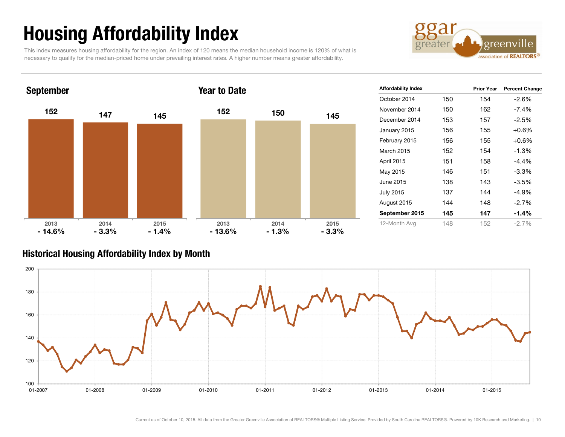# Housing Affordability Index

This index measures housing affordability for the region. An index of 120 means the median household income is 120% of what is necessary to qualify for the median-priced home under prevailing interest rates. A higher number means greater affordability.





| <b>Affordability Index</b> |     | <b>Prior Year</b> | <b>Percent Change</b> |
|----------------------------|-----|-------------------|-----------------------|
| October 2014               | 150 | 154               | $-2.6%$               |
| November 2014              | 150 | 162               | $-7.4\%$              |
| December 2014              | 153 | 157               | $-2.5%$               |
| January 2015               | 156 | 155               | $+0.6%$               |
| February 2015              | 156 | 155               | $+0.6%$               |
| March 2015                 | 152 | 154               | $-1.3%$               |
| <b>April 2015</b>          | 151 | 158               | $-4.4%$               |
| May 2015                   | 146 | 151               | $-3.3%$               |
| June 2015                  | 138 | 143               | $-3.5%$               |
| <b>July 2015</b>           | 137 | 144               | $-4.9%$               |
| August 2015                | 144 | 148               | $-2.7%$               |
| September 2015             | 145 | 147               | $-1.4%$               |
| 12-Month Avg               | 148 | 152               | $-2.7\%$              |

## Historical Housing Affordability Index by Mont h

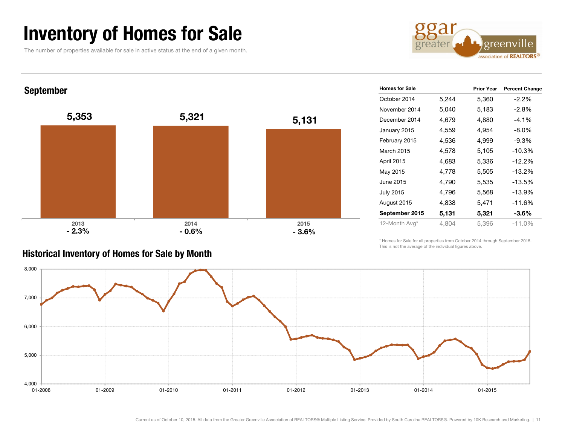# Inventory of Homes for Sale

The number of properties available for sale in active status at the end of a given month.

Historical Inventory of Homes for Sale by Month



September



| <b>Homes for Sale</b> |       | <b>Prior Year</b> | <b>Percent Change</b> |
|-----------------------|-------|-------------------|-----------------------|
| October 2014          | 5,244 | 5,360             | -2.2%                 |
| November 2014         | 5,040 | 5,183             | $-2.8%$               |
| December 2014         | 4,679 | 4,880             | -4.1%                 |
| January 2015          | 4,559 | 4,954             | $-8.0\%$              |
| February 2015         | 4,536 | 4,999             | -9.3%                 |
| March 2015            | 4,578 | 5,105             | $-10.3%$              |
| April 2015            | 4,683 | 5,336             | $-12.2%$              |
| May 2015              | 4,778 | 5,505             | $-13.2%$              |
| June 2015             | 4,790 | 5,535             | $-13.5%$              |
| <b>July 2015</b>      | 4,796 | 5,568             | $-13.9%$              |
| August 2015           | 4,838 | 5,471             | $-11.6%$              |
| September 2015        | 5,131 | 5,321             | -3.6%                 |
| 12-Month Avg*         | 4,804 | 5,396             | $-11.0%$              |

\* Homes for Sale for all properties from October 2014 through September 2015. This is not the average of the individual figures above.

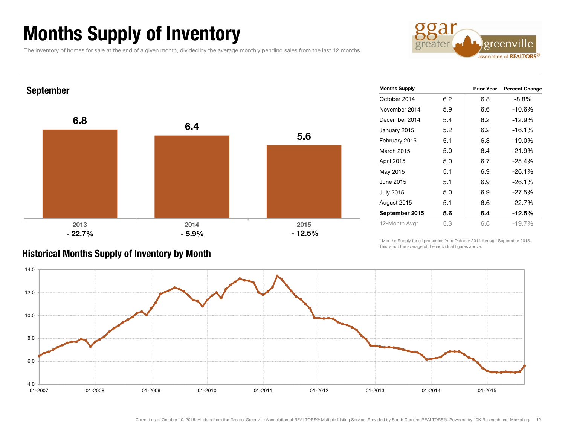# Months Supply of Inventory

The inventory of homes for sale at the end of a given month, divided by the average monthly pending sales from the last 12 months.





| <b>Months Supply</b> |     | <b>Prior Year</b> | <b>Percent Change</b> |
|----------------------|-----|-------------------|-----------------------|
| October 2014         | 6.2 | 6.8               | $-8.8%$               |
| November 2014        | 5.9 | 6.6               | $-10.6%$              |
| December 2014        | 5.4 | 6.2               | $-12.9%$              |
| January 2015         | 5.2 | 6.2               | $-16.1%$              |
| February 2015        | 5.1 | 6.3               | $-19.0%$              |
| <b>March 2015</b>    | 5.0 | 6.4               | $-21.9%$              |
| April 2015           | 5.0 | 6.7               | $-25.4%$              |
| May 2015             | 5.1 | 6.9               | $-26.1%$              |
| June 2015            | 5.1 | 6.9               | $-26.1%$              |
| <b>July 2015</b>     | 5.0 | 6.9               | $-27.5%$              |
| August 2015          | 5.1 | 6.6               | $-22.7%$              |
| September 2015       | 5.6 | 6.4               | $-12.5%$              |
| 12-Month Avg*        | 5.3 | 6.6               | $-19.7%$              |

## Historical Months Supply of Inventory by Month

\* Months Supply for all properties from October 2014 through September 2015. This is not the average of the individual figures above.

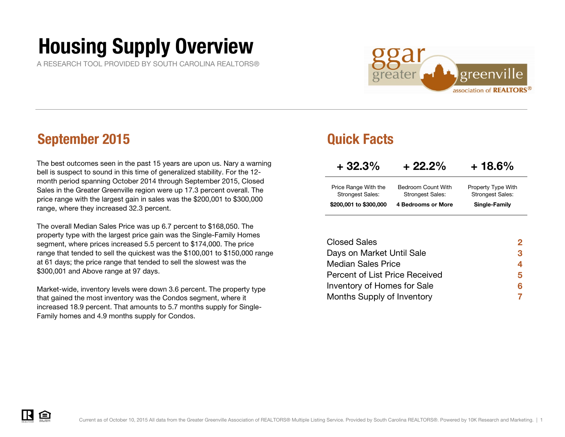# Housing Supply Overview

A RESEARCH TOOL PROVIDED BY SOUTH CAROLINA REALTORS®



## September 2015 Quick Facts

The best outcomes seen in the past 15 years are upon us. Nary a warning bell is suspect to sound in this time of generalized stability. For the 12 month period spanning October 2014 through September 2015, Closed Sales in the Greater Greenville region were up 17.3 percent overall. The price range with the largest gain in sales was the \$200,001 to \$300,000 range, where they increased 32.3 percent.

The overall Median Sales Price was up 6.7 percent to \$168,050. The property type with the largest price gain was the Single-Family Homes segment, where prices increased 5.5 percent to \$174,000. The price range that tended to sell the quickest was the \$100,001 to \$150,000 range at 61 days; the price range that tended to sell the slowest was the \$300,001 and Above range at 97 days.

Market-wide, inventory levels were down 3.6 percent. The property type that gained the most inventory was the Condos segment, where it increased 18.9 percent. That amounts to 5.7 months supply for Single-Family homes and 4.9 months supply for Condos.

| $+32.3%$                                        | $+22.2\%$                                     | $+18.6\%$                                     |
|-------------------------------------------------|-----------------------------------------------|-----------------------------------------------|
| Price Range With the<br><b>Strongest Sales:</b> | Bedroom Count With<br><b>Strongest Sales:</b> | Property Type With<br><b>Strongest Sales:</b> |
| \$200,001 to \$300,000                          | <b>4 Bedrooms or More</b>                     | Single-Family                                 |

| <b>Closed Sales</b>            | 2 |
|--------------------------------|---|
| Days on Market Until Sale      | 3 |
| <b>Median Sales Price</b>      | 4 |
| Percent of List Price Received | 5 |
| Inventory of Homes for Sale    | 6 |
| Months Supply of Inventory     |   |

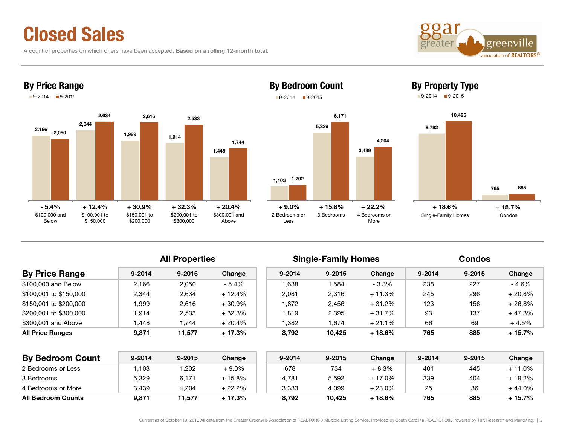# Closed Sales

A count of properties on which offers have been accepted. Based on a rolling 12-month total.



By Property Type



## By Price Range



By Bedroom Count  $9-2014$   $19-2015$ 



**By Price Range** 8-2014 9-2015 Change 9-2014 9-2015 Change 9-2014 9-2015 Change \$100,000 and Below 2,166 2,050 - 5.4% 1,638 1,584 - 3.3% 238 227 - 4.6% \$100,001 to \$150,000 2,344 2,634 + 12.4% 2,081 2,316 + 11.3% 245 296 + 20.8% \$150,001 to \$200,000 1,999 2,616 + 30.9% 1,872 2,456 + 31.2% 123 156 + 26.8%  $$200,001$$  to  $$300,000$   $$1,914$   $$2,533$   $$+32.3\%$   $$1,819$   $$2,395$   $$+31.7\%$   $$93$   $$137$   $$+47.3\%$ \$300,001 and Above 1,448 1,744 + 20.4% 1,382 1,674 + 21.1% 66 69 + 4.5% All Properties **Single-Family Homes** Condos

| <b>By Bedroom Count</b>   | 9-2014 | $9 - 2015$ | Change   | $9 - 2014$ | $9 - 2015$ | Change  | 9-2014 | $9 - 2015$ | Change    |
|---------------------------|--------|------------|----------|------------|------------|---------|--------|------------|-----------|
| 2 Bedrooms or Less        | .103   | .202       | + 9.0%   | 678        | 734        | + 8.3%  | 401    | 445        | $-11.0\%$ |
| 3 Bedrooms                | 5.329  | 6.171      | $+15.8%$ | 4.781      | 5.592      | + 17.0% | 339    | 404        | 19.2%     |
| 4 Bedrooms or More        | 3.439  | 4,204      | + 22.2%  | 3.333      | 4.099      | + 23.0% | 25     | 36         | $-44.0%$  |
| <b>All Bedroom Counts</b> | 9.871  | 11.577     | $+17.3%$ | 8.792      | 10.425     | + 18.6% | 765    | 885        | + 15.7%   |

## All Price Ranges 9,871 11,577 + 17.3% 8,792 10,425 + 18.6% 765 885 + 15.7%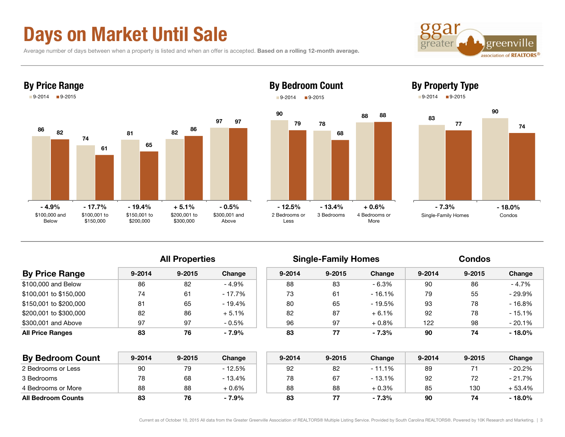# Days on Market Until Sale

Average number of days between when a property is listed and when an offer is accepted. Based on a rolling 12-month average.





## By Bedroom Count 9-2014 **9-2015**



## By Property Type

 $9-2014$  9-2015



|                         |            | <b>All Properties</b> |          |            | <b>Single-Family Homes</b> |         | <b>Condos</b> |            |           |  |
|-------------------------|------------|-----------------------|----------|------------|----------------------------|---------|---------------|------------|-----------|--|
| <b>By Price Range</b>   | $9 - 2014$ | $9 - 2015$            | Change   | $9 - 2014$ | $9 - 2015$                 | Change  | $9 - 2014$    | $9 - 2015$ | Change    |  |
| \$100,000 and Below     | 86         | 82                    | $-4.9%$  | 88         | 83                         | $-6.3%$ | 90            | 86         | $-4.7\%$  |  |
| \$100,001 to \$150,000  | 74         | 61                    | $-17.7%$ | 73         | 61                         | - 16.1% | 79            | 55         | - 29.9%   |  |
| \$150,001 to \$200,000  | 81         | 65                    | $-19.4%$ | 80         | 65                         | - 19.5% | 93            | 78         | $-16.8%$  |  |
| \$200,001 to \$300,000  | 82         | 86                    | $+5.1%$  | 82         | 87                         | $+6.1%$ | 92            | 78         | $-15.1%$  |  |
| \$300.001 and Above     | 97         | 97                    | $-0.5%$  | 96         | 97                         | $+0.8%$ | 122           | 98         | $-20.1%$  |  |
| <b>All Price Ranges</b> | 83         | 76                    | $-7.9%$  | 83         | 77                         | $-7.3%$ | 90            | 74         | $-18.0\%$ |  |

| <b>By Bedroom Count</b>   | 9-2014 | $9 - 2015$ | Change  | $9 - 2014$ | $9 - 2015$ | Change   | $9 - 2014$ | $9 - 2015$ | Change  |
|---------------------------|--------|------------|---------|------------|------------|----------|------------|------------|---------|
| 2 Bedrooms or Less        | 90     | 79         | - 12.5% | 92         | 82         | $-11.1%$ | 89         |            | - 20.2% |
| 3 Bedrooms                | 78     | 68         | - 13.4% | 78         | 67         | $-13.1%$ | 92         |            | - 21.7% |
| 4 Bedrooms or More        | 88     | 88         | $+0.6%$ | 88         | 88         | $+0.3\%$ | 85         | 130        | - 53.4% |
| <b>All Bedroom Counts</b> | 83     | 76         | $-7.9%$ | 83         |            | $-7.3%$  | 90         |            | - 18.0% |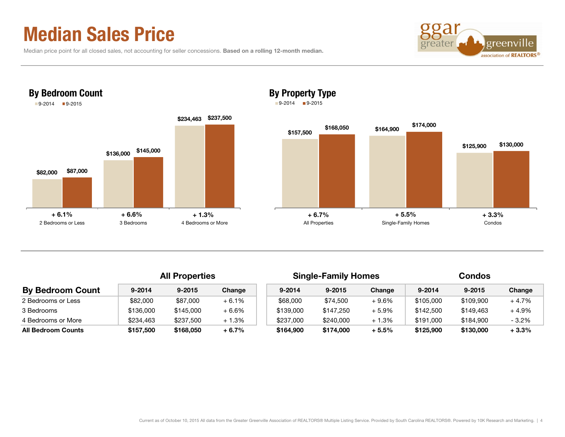# Median Sales Price

|  |  | Median price point for all closed sales, not accounting for seller concessions. Based on a rolling 12-month median. |
|--|--|---------------------------------------------------------------------------------------------------------------------|
|--|--|---------------------------------------------------------------------------------------------------------------------|



## By Property Type  $9-2014$   $9-2015$



|                           |            | <b>All Properties</b> |         |            | <b>Single-Family Homes</b> |          | <b>Condos</b> |            |         |  |
|---------------------------|------------|-----------------------|---------|------------|----------------------------|----------|---------------|------------|---------|--|
| <b>By Bedroom Count</b>   | $9 - 2014$ | $9 - 2015$            | Change  | $9 - 2014$ | $9 - 2015$                 | Change   | $9 - 2014$    | $9 - 2015$ | Change  |  |
| 2 Bedrooms or Less        | \$82,000   | \$87,000              | $+6.1%$ | \$68,000   | \$74,500                   | $+9.6%$  | \$105,000     | \$109.900  | $+4.7%$ |  |
| 3 Bedrooms                | \$136,000  | \$145,000             | $+6.6%$ | \$139,000  | \$147.250                  | $+5.9\%$ | \$142,500     | \$149.463  | $+4.9%$ |  |
| 4 Bedrooms or More        | \$234,463  | \$237,500             | $+1.3%$ | \$237,000  | \$240,000                  | $+1.3%$  | \$191,000     | \$184.900  | $-3.2%$ |  |
| <b>All Bedroom Counts</b> | \$157,500  | \$168,050             | $+6.7%$ | \$164,900  | \$174,000                  | $+5.5%$  | \$125,900     | \$130,000  | $+3.3%$ |  |

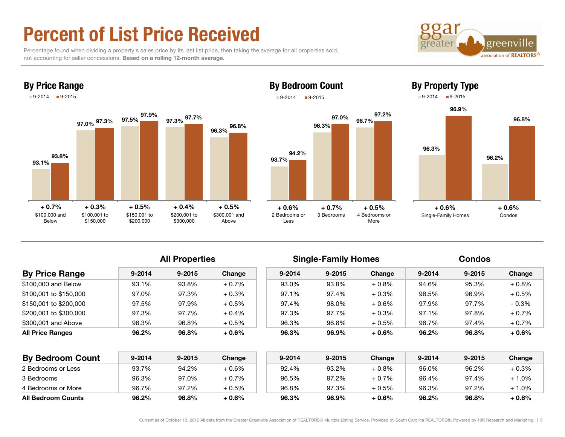# Percent of List Price Received

By Price Range

 Percentage found when dividing a property's sales price by its last list price, then taking the average for all properties sold, not accounting for seller concessions. Based on a rolling 12-month average.





## 96.3% 96.7% 97.0% 97.2% By Bedroom Count  $9-2014$  9-2015

## 93.7% 94.2% 2 Bedrooms or Less 3 Bedrooms 4 Bedrooms or More



## **All Properties**

|                        |            | All Properties |         |            | Single-Family Homes |          | Condos     |            |         |
|------------------------|------------|----------------|---------|------------|---------------------|----------|------------|------------|---------|
| <b>By Price Range</b>  | $9 - 2014$ | $9 - 2015$     | Change  | $9 - 2014$ | $9 - 2015$          | Change   | $9 - 2014$ | $9 - 2015$ | Change  |
| \$100,000 and Below    | 93.1%      | 93.8%          | $+0.7%$ | 93.0%      | 93.8%               | $+0.8\%$ | 94.6%      | 95.3%      | $+0.8%$ |
| \$100.001 to \$150.000 | 97.0%      | 97.3%          | $+0.3%$ | 97.1%      | 97.4%               | $+0.3%$  | 96.5%      | 96.9%      | $+0.5%$ |
| \$150,001 to \$200,000 | 97.5%      | 97.9%          | $+0.5%$ | 97.4%      | 98.0%               | $+0.6\%$ | 97.9%      | 97.7%      | $-0.3%$ |
| \$200,001 to \$300,000 | 97.3%      | 97.7%          | $+0.4%$ | 97.3%      | 97.7%               | $+0.3%$  | 97.1%      | 97.8%      | $+0.7%$ |
| \$300,001 and Above    | 96.3%      | 96.8%          | $+0.5%$ | 96.3%      | 96.8%               | $+0.5\%$ | 96.7%      | 97.4%      | $+0.7%$ |
| All Price Ranges       | 96.2%      | 96.8%          | $+0.6%$ | 96.3%      | 96.9%               | $+0.6\%$ | 96.2%      | 96.8%      | $+0.6%$ |

| <b>By Bedroom Count</b>   | $9 - 2014$ | $9 - 2015$ | Change   | $9 - 2014$ | $9 - 2015$ | Change  | $9 - 2014$ | $9 - 2015$ | Change |
|---------------------------|------------|------------|----------|------------|------------|---------|------------|------------|--------|
| 2 Bedrooms or Less        | 93.7%      | 94.2%      | $+0.6%$  | 92.4%      | 93.2%      | $+0.8%$ | 96.0%      | 96.2%      | + 0.3% |
| 3 Bedrooms                | 96.3%      | 97.0%      | $+0.7%$  | 96.5%      | 97.2%      | $+0.7%$ | 96.4%      | 97.4%      | + 1.0% |
| 4 Bedrooms or More        | 96.7%      | 97.2%      | $+0.5%$  | 96.8%      | 97.3%      | $+0.5%$ | 96.3%      | 97.2%      | + 1.0% |
| <b>All Bedroom Counts</b> | 96.2%      | 96.8%      | $+0.6\%$ | 96.3%      | 96.9%      | $+0.6%$ | 96.2%      | 96.8%      | + 0.6% |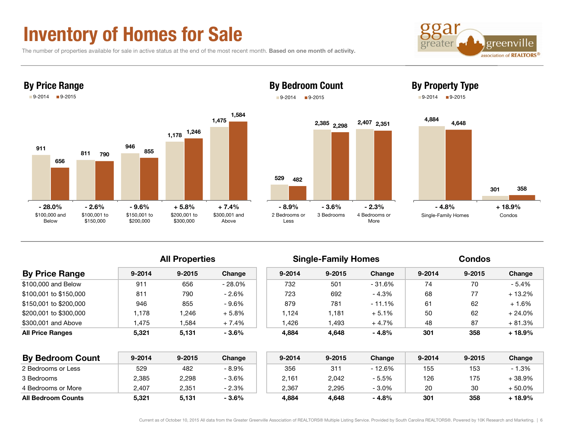# Inventory of Homes for Sale

The number of properties available for sale in active status at the end of the most recent month. Based on one month of activity.





### By Bedroom Count  $9-2014$  9-2015





# 301 358 Single-Family Homes Condos

| <b>By Price Range</b>   |            | <b>All Properties</b> |          |            | <b>Single-Family Homes</b> |         | <b>Condos</b> |            |          |  |
|-------------------------|------------|-----------------------|----------|------------|----------------------------|---------|---------------|------------|----------|--|
|                         | $9 - 2014$ | $9 - 2015$            | Change   | $9 - 2014$ | $9 - 2015$                 | Change  | $9 - 2014$    | $9 - 2015$ | Change   |  |
| \$100,000 and Below     | 911        | 656                   | $-28.0%$ | 732        | 501                        | - 31.6% | 74            | 70         | $-5.4%$  |  |
| \$100,001 to \$150,000  | 811        | 790                   | $-2.6%$  | 723        | 692                        | - 4.3%  | 68            | 77         | $+13.2%$ |  |
| \$150,001 to \$200,000  | 946        | 855                   | $-9.6%$  | 879        | 781                        | - 11.1% | 61            | 62         | $+1.6%$  |  |
| \$200,001 to \$300,000  | 178        | 1.246                 | $+5.8%$  | 1.124      | .181                       | $+5.1%$ | 50            | 62         | $+24.0%$ |  |
| \$300.001 and Above     | .475       | 1.584                 | $+7.4%$  | l.426      | .493                       | $+4.7%$ | 48            | 87         | $+81.3%$ |  |
| <b>All Price Ranges</b> | 5.321      | 5,131                 | $-3.6%$  | 4.884      | 4.648                      | $-4.8%$ | 301           | 358        | $+18.9%$ |  |

| <b>By Bedroom Count</b>   | 9-2014 | $9 - 2015$ | Change  | $9 - 2014$ | $9 - 2015$ | Change   | $9 - 2014$ | $9 - 2015$ | Change    |
|---------------------------|--------|------------|---------|------------|------------|----------|------------|------------|-----------|
| 2 Bedrooms or Less        | 529    | 482        | $-8.9%$ | 356        | 311        | $-12.6%$ | 155        | 153        | $-1.3%$   |
| 3 Bedrooms                | 2,385  | 2,298      | $-3.6%$ | 2,161      | 2,042      | $-5.5%$  | 126        | 175        | - 38.9%   |
| 4 Bedrooms or More        | 2.407  | 2,351      | $-2.3%$ | 2.367      | 2,295      | $-3.0\%$ | 20         | 30         | $-50.0\%$ |
| <b>All Bedroom Counts</b> | 5.321  | 5,131      | $-3.6%$ | 4,884      | 4,648      | $-4.8%$  | 301        | 358        | . 18.9%   |